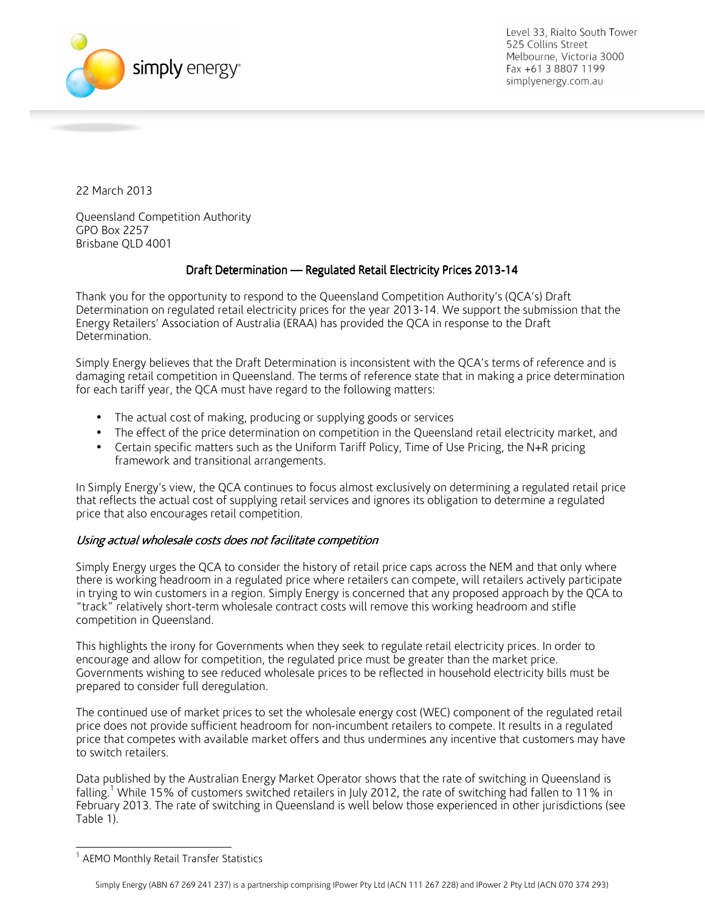

Level 33, Rialto South Tower 525 Collins Street Melbourne, Victoria 3000 Fax +61 3 8807 1199 simplyenergy.com.au

22 March 2013

Queensland Competition Authority GPO Box 2257 Brisbane QLD 4001

# Draft Determination — Regulated Retail Electricity Prices 2013-14

Thank you for the opportunity to respond to the Queensland Competition Authority's (QCA's) Draft Determination on regulated retail electricity prices for the year 2013-14. We support the submission that the Energy Retailers' Association of Australia (ERAA) has provided the QCA in response to the Draft Determination.

Simply Energy believes that the Draft Determination is inconsistent with the QCA's terms of reference and is damaging retail competition in Queensland. The terms of reference state that in making a price determination for each tariff year, the QCA must have regard to the following matters:

- The actual cost of making, producing or supplying goods or services
- The effect of the price determination on competition in the Queensland retail electricity market, and
- Certain specific matters such as the Uniform Tariff Policy, Time of Use Pricing, the N+R pricing framework and transitional arrangements.

In Simply Energy's view, the QCA continues to focus almost exclusively on determining a regulated retail price that reflects the actual cost of supplying retail services and ignores its obligation to determine a regulated price that also encourages retail competition.

## Using actual wholesale costs does not facilitate competition

Simply Energy urges the QCA to consider the history of retail price caps across the NEM and that only where there is working headroom in a regulated price where retailers can compete, will retailers actively participate in trying to win customers in a region. Simply Energy is concerned that any proposed approach by the QCA to "track" relatively short-term wholesale contract costs will remove this working headroom and stifle competition in Queensland.

This highlights the irony for Governments when they seek to regulate retail electricity prices. In order to encourage and allow for competition, the regulated price must be greater than the market price. Governments wishing to see reduced wholesale prices to be reflected in household electricity bills must be prepared to consider full deregulation.

The continued use of market prices to set the wholesale energy cost (WEC) component of the regulated retail price does not provide sufficient headroom for non-incumbent retailers to compete. It results in a regulated price that competes with available market offers and thus undermines any incentive that customers may have to switch retailers.

Data published by the Australian Energy Market Operator shows that the rate of switching in Queensland is falling.<sup>1</sup> While 15% of customers switched retailers in July 2012, the rate of switching had fallen to 11% in February 2013. The rate of switching in Queensland is well below those experienced in other jurisdictions (see Table 1).

**The Monthly Retail Transfer Statistics**<br><sup>1</sup> AEMO Monthly Retail Transfer Statistics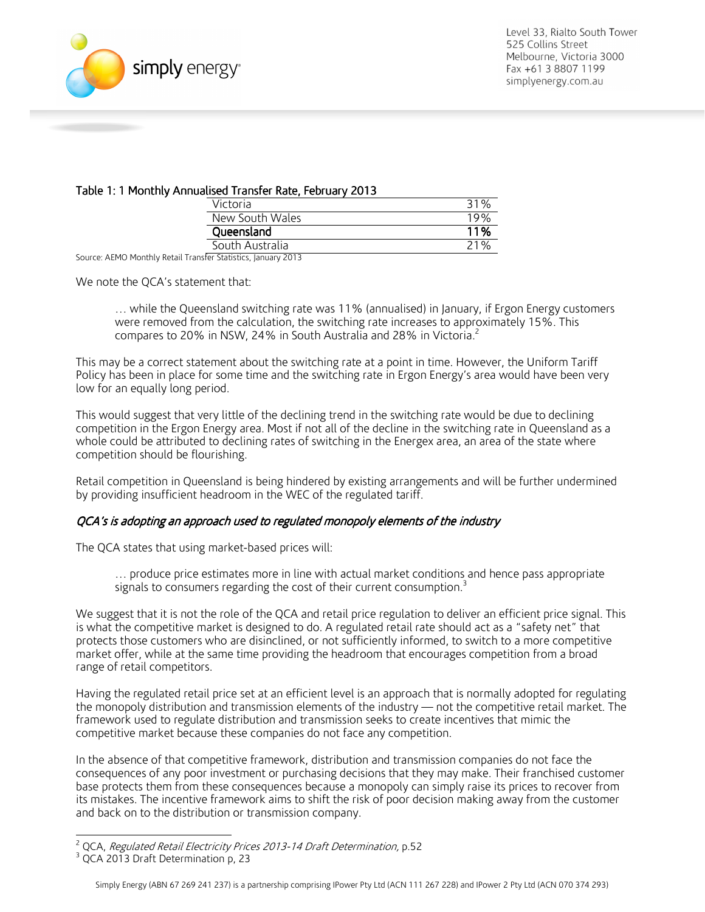

### Table 1: 1 Monthly Annualised Transfer Rate, February 2013

| -----           |     |
|-----------------|-----|
| Victoria        | 31% |
| New South Wales | 19% |
| Queensland      | 11% |
| South Australia | 21% |

Source: AEMO Monthly Retail Transfer Statistics, January 2013

We note the QCA's statement that:

… while the Queensland switching rate was 11% (annualised) in January, if Ergon Energy customers were removed from the calculation, the switching rate increases to approximately 15%. This compares to 20% in NSW, 24% in South Australia and 28% in Victoria.<sup>2</sup>

This may be a correct statement about the switching rate at a point in time. However, the Uniform Tariff Policy has been in place for some time and the switching rate in Ergon Energy's area would have been very low for an equally long period.

This would suggest that very little of the declining trend in the switching rate would be due to declining competition in the Ergon Energy area. Most if not all of the decline in the switching rate in Queensland as a whole could be attributed to declining rates of switching in the Energex area, an area of the state where competition should be flourishing.

Retail competition in Queensland is being hindered by existing arrangements and will be further undermined by providing insufficient headroom in the WEC of the regulated tariff.

#### QCA's is adopting an approach used to regulated monopoly elements of the industry

The QCA states that using market-based prices will:

… produce price estimates more in line with actual market conditions and hence pass appropriate signals to consumers regarding the cost of their current consumption.<sup>3</sup>

We suggest that it is not the role of the QCA and retail price regulation to deliver an efficient price signal. This is what the competitive market is designed to do. A regulated retail rate should act as a "safety net" that protects those customers who are disinclined, or not sufficiently informed, to switch to a more competitive market offer, while at the same time providing the headroom that encourages competition from a broad range of retail competitors.

Having the regulated retail price set at an efficient level is an approach that is normally adopted for regulating the monopoly distribution and transmission elements of the industry — not the competitive retail market. The framework used to regulate distribution and transmission seeks to create incentives that mimic the competitive market because these companies do not face any competition.

In the absence of that competitive framework, distribution and transmission companies do not face the consequences of any poor investment or purchasing decisions that they may make. Their franchised customer base protects them from these consequences because a monopoly can simply raise its prices to recover from its mistakes. The incentive framework aims to shift the risk of poor decision making away from the customer and back on to the distribution or transmission company.

 2 QCA, Regulated Retail Electricity Prices 2013-14 Draft Determination, p.52

<sup>&</sup>lt;sup>3</sup> QCA 2013 Draft Determination p, 23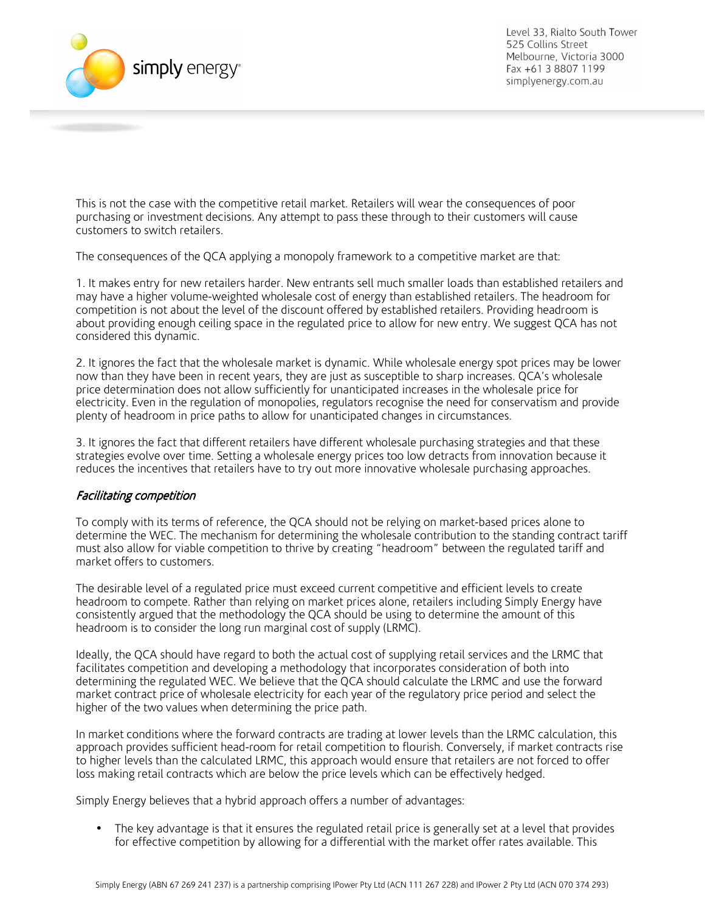

Level 33, Rialto South Tower 525 Collins Street Melbourne, Victoria 3000 Fax +61 3 8807 1199 simplyenergy.com.au

This is not the case with the competitive retail market. Retailers will wear the consequences of poor purchasing or investment decisions. Any attempt to pass these through to their customers will cause customers to switch retailers.

The consequences of the QCA applying a monopoly framework to a competitive market are that:

1. It makes entry for new retailers harder. New entrants sell much smaller loads than established retailers and may have a higher volume-weighted wholesale cost of energy than established retailers. The headroom for competition is not about the level of the discount offered by established retailers. Providing headroom is about providing enough ceiling space in the regulated price to allow for new entry. We suggest QCA has not considered this dynamic.

2. It ignores the fact that the wholesale market is dynamic. While wholesale energy spot prices may be lower now than they have been in recent years, they are just as susceptible to sharp increases. QCA's wholesale price determination does not allow sufficiently for unanticipated increases in the wholesale price for electricity. Even in the regulation of monopolies, regulators recognise the need for conservatism and provide plenty of headroom in price paths to allow for unanticipated changes in circumstances.

3. It ignores the fact that different retailers have different wholesale purchasing strategies and that these strategies evolve over time. Setting a wholesale energy prices too low detracts from innovation because it reduces the incentives that retailers have to try out more innovative wholesale purchasing approaches.

### Facilitating competition

To comply with its terms of reference, the QCA should not be relying on market-based prices alone to determine the WEC. The mechanism for determining the wholesale contribution to the standing contract tariff must also allow for viable competition to thrive by creating "headroom" between the regulated tariff and market offers to customers.

The desirable level of a regulated price must exceed current competitive and efficient levels to create headroom to compete. Rather than relying on market prices alone, retailers including Simply Energy have consistently argued that the methodology the QCA should be using to determine the amount of this headroom is to consider the long run marginal cost of supply (LRMC).

Ideally, the QCA should have regard to both the actual cost of supplying retail services and the LRMC that facilitates competition and developing a methodology that incorporates consideration of both into determining the regulated WEC. We believe that the QCA should calculate the LRMC and use the forward market contract price of wholesale electricity for each year of the regulatory price period and select the higher of the two values when determining the price path.

In market conditions where the forward contracts are trading at lower levels than the LRMC calculation, this approach provides sufficient head-room for retail competition to flourish. Conversely, if market contracts rise to higher levels than the calculated LRMC, this approach would ensure that retailers are not forced to offer loss making retail contracts which are below the price levels which can be effectively hedged.

Simply Energy believes that a hybrid approach offers a number of advantages:

• The key advantage is that it ensures the regulated retail price is generally set at a level that provides for effective competition by allowing for a differential with the market offer rates available. This